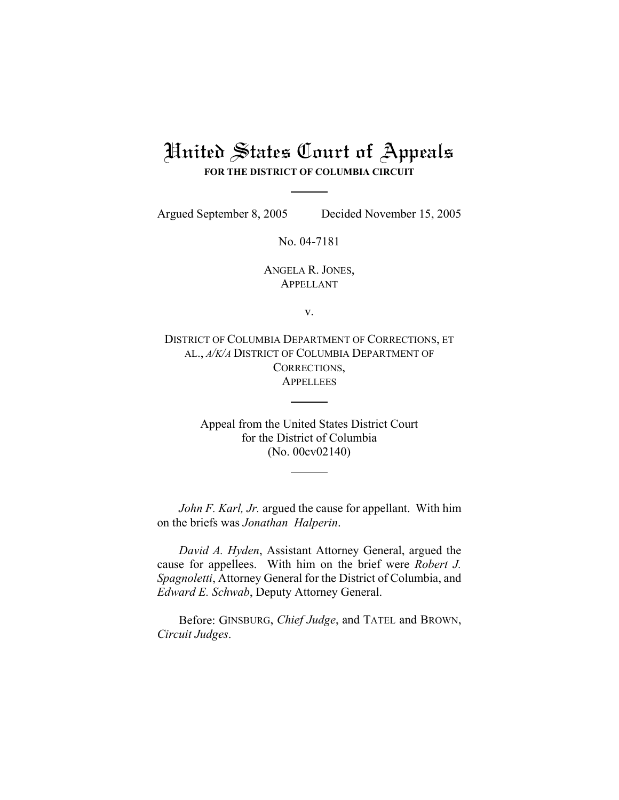# United States Court of Appeals **FOR THE DISTRICT OF COLUMBIA CIRCUIT**

Argued September 8, 2005 Decided November 15, 2005

No. 04-7181

ANGELA R. JONES, APPELLANT

v.

DISTRICT OF COLUMBIA DEPARTMENT OF CORRECTIONS, ET AL., *A/K/A* DISTRICT OF COLUMBIA DEPARTMENT OF CORRECTIONS, **APPELLEES** 

> Appeal from the United States District Court for the District of Columbia (No. 00cv02140)

*John F. Karl, Jr.* argued the cause for appellant. With him on the briefs was *Jonathan Halperin*.

*David A. Hyden*, Assistant Attorney General, argued the cause for appellees. With him on the brief were *Robert J. Spagnoletti*, Attorney General for the District of Columbia, and *Edward E. Schwab*, Deputy Attorney General.

Before: GINSBURG, *Chief Judge*, and TATEL and BROWN, *Circuit Judges*.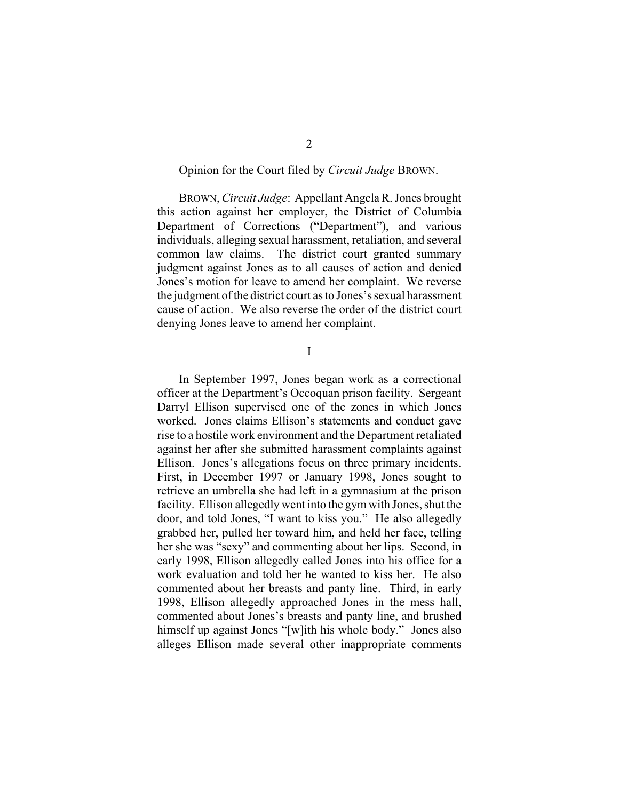## Opinion for the Court filed by *Circuit Judge* BROWN.

BROWN, *Circuit Judge*: Appellant Angela R. Jones brought this action against her employer, the District of Columbia Department of Corrections ("Department"), and various individuals, alleging sexual harassment, retaliation, and several common law claims. The district court granted summary judgment against Jones as to all causes of action and denied Jones's motion for leave to amend her complaint. We reverse the judgment of the district court as to Jones's sexual harassment cause of action. We also reverse the order of the district court denying Jones leave to amend her complaint.

I

In September 1997, Jones began work as a correctional officer at the Department's Occoquan prison facility. Sergeant Darryl Ellison supervised one of the zones in which Jones worked. Jones claims Ellison's statements and conduct gave rise to a hostile work environment and the Department retaliated against her after she submitted harassment complaints against Ellison. Jones's allegations focus on three primary incidents. First, in December 1997 or January 1998, Jones sought to retrieve an umbrella she had left in a gymnasium at the prison facility. Ellison allegedly went into the gym with Jones, shut the door, and told Jones, "I want to kiss you." He also allegedly grabbed her, pulled her toward him, and held her face, telling her she was "sexy" and commenting about her lips. Second, in early 1998, Ellison allegedly called Jones into his office for a work evaluation and told her he wanted to kiss her. He also commented about her breasts and panty line. Third, in early 1998, Ellison allegedly approached Jones in the mess hall, commented about Jones's breasts and panty line, and brushed himself up against Jones "[w]ith his whole body." Jones also alleges Ellison made several other inappropriate comments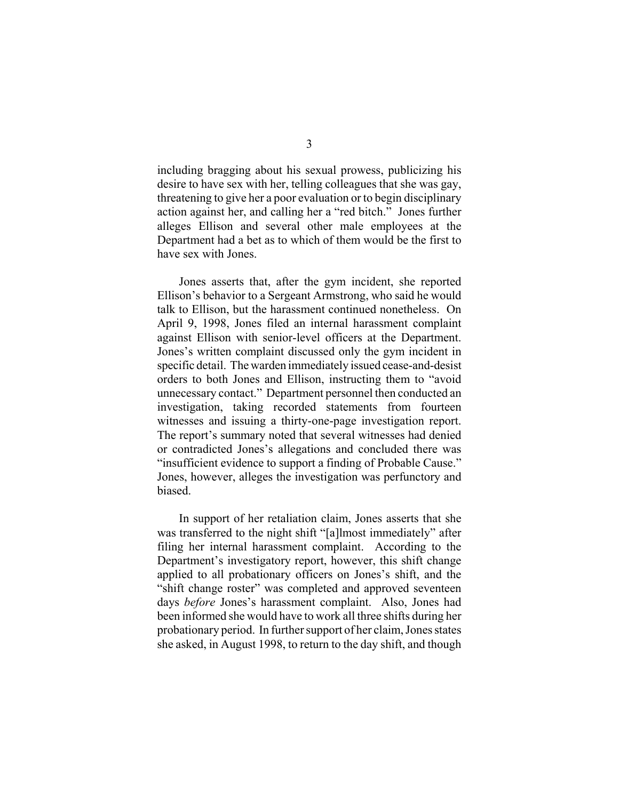including bragging about his sexual prowess, publicizing his desire to have sex with her, telling colleagues that she was gay, threatening to give her a poor evaluation or to begin disciplinary action against her, and calling her a "red bitch." Jones further alleges Ellison and several other male employees at the Department had a bet as to which of them would be the first to have sex with Jones.

Jones asserts that, after the gym incident, she reported Ellison's behavior to a Sergeant Armstrong, who said he would talk to Ellison, but the harassment continued nonetheless. On April 9, 1998, Jones filed an internal harassment complaint against Ellison with senior-level officers at the Department. Jones's written complaint discussed only the gym incident in specific detail. The warden immediately issued cease-and-desist orders to both Jones and Ellison, instructing them to "avoid unnecessary contact." Department personnel then conducted an investigation, taking recorded statements from fourteen witnesses and issuing a thirty-one-page investigation report. The report's summary noted that several witnesses had denied or contradicted Jones's allegations and concluded there was "insufficient evidence to support a finding of Probable Cause." Jones, however, alleges the investigation was perfunctory and biased.

In support of her retaliation claim, Jones asserts that she was transferred to the night shift "[a]lmost immediately" after filing her internal harassment complaint. According to the Department's investigatory report, however, this shift change applied to all probationary officers on Jones's shift, and the "shift change roster" was completed and approved seventeen days *before* Jones's harassment complaint. Also, Jones had been informed she would have to work all three shifts during her probationary period. In further support of her claim, Jones states she asked, in August 1998, to return to the day shift, and though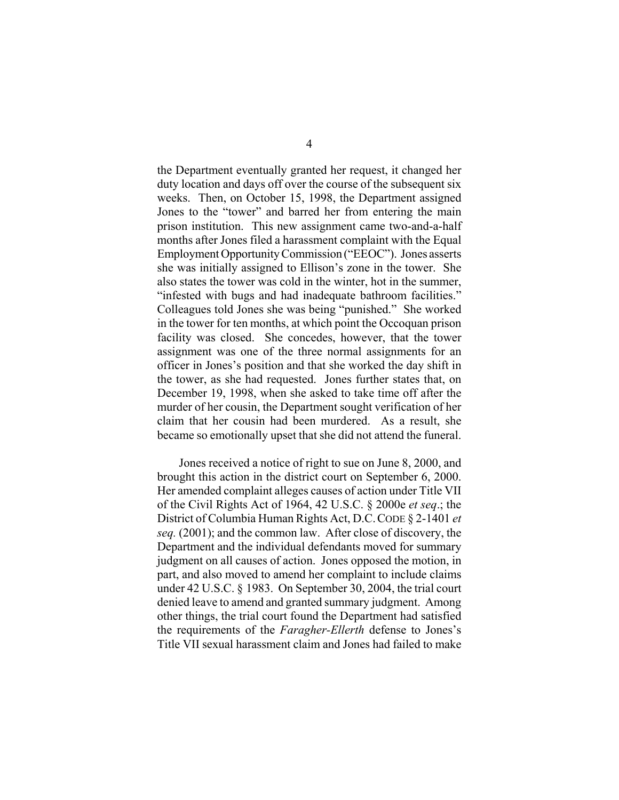the Department eventually granted her request, it changed her duty location and days off over the course of the subsequent six weeks. Then, on October 15, 1998, the Department assigned Jones to the "tower" and barred her from entering the main prison institution. This new assignment came two-and-a-half months after Jones filed a harassment complaint with the Equal Employment Opportunity Commission ("EEOC"). Jones asserts she was initially assigned to Ellison's zone in the tower. She also states the tower was cold in the winter, hot in the summer, "infested with bugs and had inadequate bathroom facilities." Colleagues told Jones she was being "punished." She worked in the tower for ten months, at which point the Occoquan prison facility was closed. She concedes, however, that the tower assignment was one of the three normal assignments for an officer in Jones's position and that she worked the day shift in the tower, as she had requested. Jones further states that, on December 19, 1998, when she asked to take time off after the murder of her cousin, the Department sought verification of her claim that her cousin had been murdered. As a result, she became so emotionally upset that she did not attend the funeral.

Jones received a notice of right to sue on June 8, 2000, and brought this action in the district court on September 6, 2000. Her amended complaint alleges causes of action under Title VII of the Civil Rights Act of 1964, 42 U.S.C. § 2000e *et seq*.; the District of Columbia Human Rights Act, D.C.CODE § 2-1401 *et seq.* (2001); and the common law. After close of discovery, the Department and the individual defendants moved for summary judgment on all causes of action. Jones opposed the motion, in part, and also moved to amend her complaint to include claims under 42 U.S.C. § 1983. On September 30, 2004, the trial court denied leave to amend and granted summary judgment. Among other things, the trial court found the Department had satisfied the requirements of the *Faragher-Ellerth* defense to Jones's Title VII sexual harassment claim and Jones had failed to make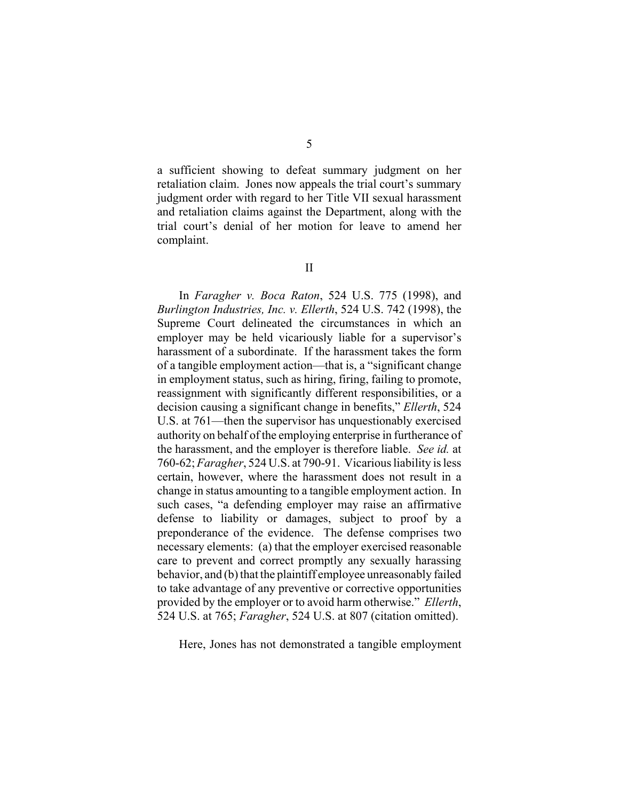a sufficient showing to defeat summary judgment on her retaliation claim. Jones now appeals the trial court's summary judgment order with regard to her Title VII sexual harassment and retaliation claims against the Department, along with the trial court's denial of her motion for leave to amend her complaint.

In *Faragher v. Boca Raton*, 524 U.S. 775 (1998), and *Burlington Industries, Inc. v. Ellerth*, 524 U.S. 742 (1998), the Supreme Court delineated the circumstances in which an employer may be held vicariously liable for a supervisor's harassment of a subordinate. If the harassment takes the form of a tangible employment action—that is, a "significant change in employment status, such as hiring, firing, failing to promote, reassignment with significantly different responsibilities, or a decision causing a significant change in benefits," *Ellerth*, 524 U.S. at 761—then the supervisor has unquestionably exercised authority on behalf of the employing enterprise in furtherance of the harassment, and the employer is therefore liable. *See id.* at 760-62; *Faragher*, 524 U.S. at 790-91. Vicarious liability is less certain, however, where the harassment does not result in a change in status amounting to a tangible employment action. In such cases, "a defending employer may raise an affirmative defense to liability or damages, subject to proof by a preponderance of the evidence. The defense comprises two necessary elements: (a) that the employer exercised reasonable care to prevent and correct promptly any sexually harassing behavior, and (b) that the plaintiff employee unreasonably failed to take advantage of any preventive or corrective opportunities provided by the employer or to avoid harm otherwise." *Ellerth*, 524 U.S. at 765; *Faragher*, 524 U.S. at 807 (citation omitted).

Here, Jones has not demonstrated a tangible employment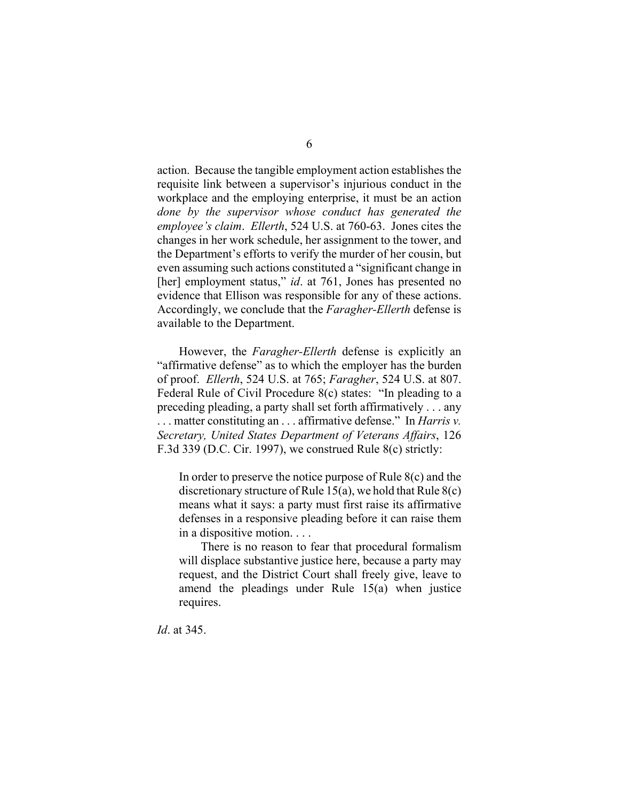action. Because the tangible employment action establishes the requisite link between a supervisor's injurious conduct in the workplace and the employing enterprise, it must be an action *done by the supervisor whose conduct has generated the employee's claim*. *Ellerth*, 524 U.S. at 760-63. Jones cites the changes in her work schedule, her assignment to the tower, and the Department's efforts to verify the murder of her cousin, but even assuming such actions constituted a "significant change in [her] employment status," *id.* at 761, Jones has presented no evidence that Ellison was responsible for any of these actions. Accordingly, we conclude that the *Faragher-Ellerth* defense is available to the Department.

However, the *Faragher-Ellerth* defense is explicitly an "affirmative defense" as to which the employer has the burden of proof. *Ellerth*, 524 U.S. at 765; *Faragher*, 524 U.S. at 807. Federal Rule of Civil Procedure 8(c) states: "In pleading to a preceding pleading, a party shall set forth affirmatively . . . any . . . matter constituting an . . . affirmative defense." In *Harris v. Secretary, United States Department of Veterans Affairs*, 126 F.3d 339 (D.C. Cir. 1997), we construed Rule 8(c) strictly:

In order to preserve the notice purpose of Rule 8(c) and the discretionary structure of Rule 15(a), we hold that Rule 8(c) means what it says: a party must first raise its affirmative defenses in a responsive pleading before it can raise them in a dispositive motion. . . .

There is no reason to fear that procedural formalism will displace substantive justice here, because a party may request, and the District Court shall freely give, leave to amend the pleadings under Rule 15(a) when justice requires.

*Id*. at 345.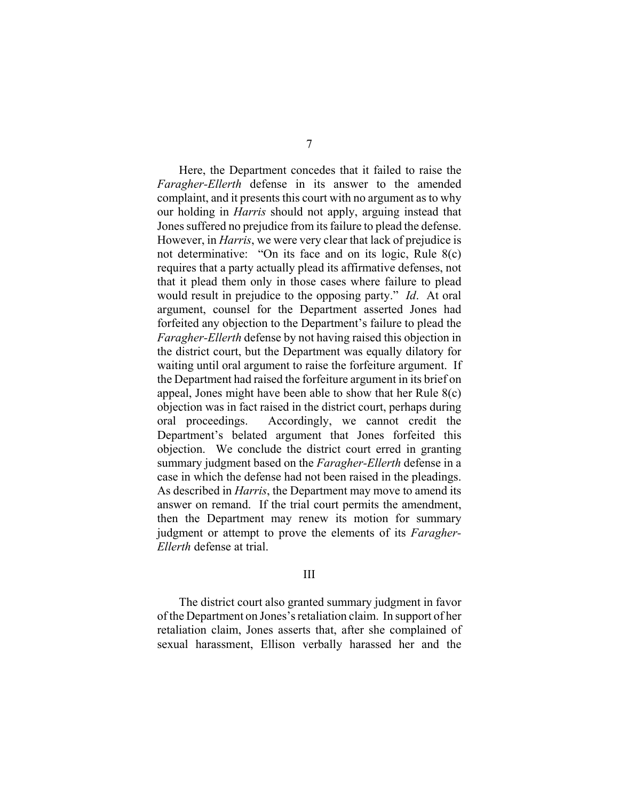Here, the Department concedes that it failed to raise the *Faragher-Ellerth* defense in its answer to the amended complaint, and it presents this court with no argument as to why our holding in *Harris* should not apply, arguing instead that Jones suffered no prejudice from its failure to plead the defense. However, in *Harris*, we were very clear that lack of prejudice is not determinative: "On its face and on its logic, Rule 8(c) requires that a party actually plead its affirmative defenses, not that it plead them only in those cases where failure to plead would result in prejudice to the opposing party." *Id*. At oral argument, counsel for the Department asserted Jones had forfeited any objection to the Department's failure to plead the *Faragher-Ellerth* defense by not having raised this objection in the district court, but the Department was equally dilatory for waiting until oral argument to raise the forfeiture argument. If the Department had raised the forfeiture argument in its brief on appeal, Jones might have been able to show that her Rule 8(c) objection was in fact raised in the district court, perhaps during oral proceedings. Accordingly, we cannot credit the Department's belated argument that Jones forfeited this objection. We conclude the district court erred in granting summary judgment based on the *Faragher-Ellerth* defense in a case in which the defense had not been raised in the pleadings. As described in *Harris*, the Department may move to amend its answer on remand. If the trial court permits the amendment, then the Department may renew its motion for summary judgment or attempt to prove the elements of its *Faragher-Ellerth* defense at trial.

## III

The district court also granted summary judgment in favor of the Department on Jones's retaliation claim. In support of her retaliation claim, Jones asserts that, after she complained of sexual harassment, Ellison verbally harassed her and the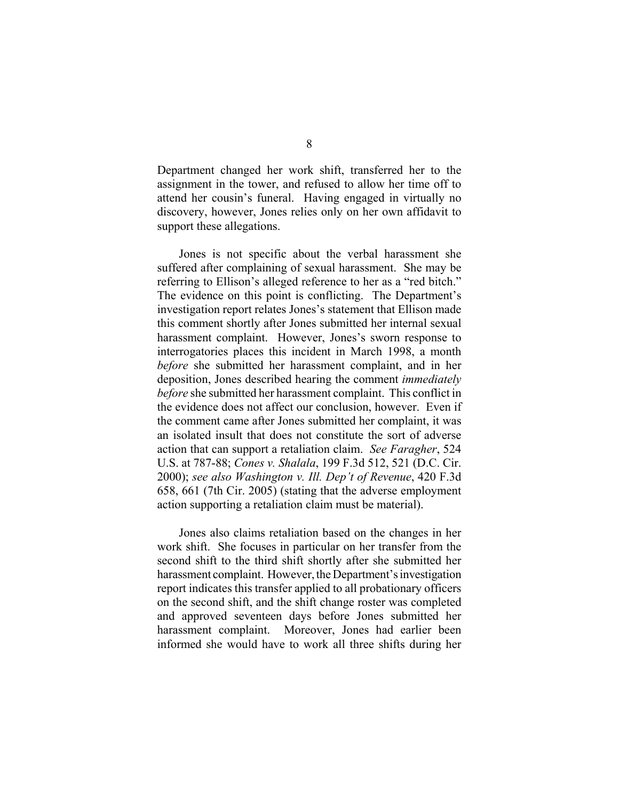Department changed her work shift, transferred her to the assignment in the tower, and refused to allow her time off to attend her cousin's funeral. Having engaged in virtually no discovery, however, Jones relies only on her own affidavit to support these allegations.

Jones is not specific about the verbal harassment she suffered after complaining of sexual harassment. She may be referring to Ellison's alleged reference to her as a "red bitch." The evidence on this point is conflicting. The Department's investigation report relates Jones's statement that Ellison made this comment shortly after Jones submitted her internal sexual harassment complaint. However, Jones's sworn response to interrogatories places this incident in March 1998, a month *before* she submitted her harassment complaint, and in her deposition, Jones described hearing the comment *immediately before* she submitted her harassment complaint. This conflict in the evidence does not affect our conclusion, however. Even if the comment came after Jones submitted her complaint, it was an isolated insult that does not constitute the sort of adverse action that can support a retaliation claim. *See Faragher*, 524 U.S. at 787-88; *Cones v. Shalala*, 199 F.3d 512, 521 (D.C. Cir. 2000); *see also Washington v. Ill. Dep't of Revenue*, 420 F.3d 658, 661 (7th Cir. 2005) (stating that the adverse employment action supporting a retaliation claim must be material).

Jones also claims retaliation based on the changes in her work shift. She focuses in particular on her transfer from the second shift to the third shift shortly after she submitted her harassment complaint. However, the Department's investigation report indicates this transfer applied to all probationary officers on the second shift, and the shift change roster was completed and approved seventeen days before Jones submitted her harassment complaint. Moreover, Jones had earlier been informed she would have to work all three shifts during her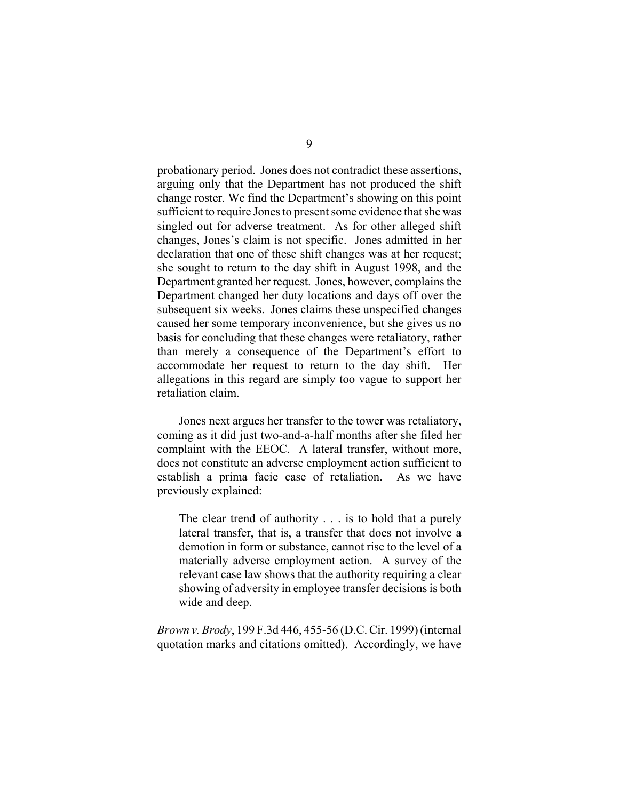probationary period. Jones does not contradict these assertions, arguing only that the Department has not produced the shift change roster. We find the Department's showing on this point sufficient to require Jones to present some evidence that she was singled out for adverse treatment. As for other alleged shift changes, Jones's claim is not specific. Jones admitted in her declaration that one of these shift changes was at her request; she sought to return to the day shift in August 1998, and the Department granted her request. Jones, however, complains the Department changed her duty locations and days off over the subsequent six weeks. Jones claims these unspecified changes caused her some temporary inconvenience, but she gives us no basis for concluding that these changes were retaliatory, rather than merely a consequence of the Department's effort to accommodate her request to return to the day shift. Her allegations in this regard are simply too vague to support her retaliation claim.

Jones next argues her transfer to the tower was retaliatory, coming as it did just two-and-a-half months after she filed her complaint with the EEOC. A lateral transfer, without more, does not constitute an adverse employment action sufficient to establish a prima facie case of retaliation. As we have previously explained:

The clear trend of authority . . . is to hold that a purely lateral transfer, that is, a transfer that does not involve a demotion in form or substance, cannot rise to the level of a materially adverse employment action. A survey of the relevant case law shows that the authority requiring a clear showing of adversity in employee transfer decisions is both wide and deep.

*Brown v. Brody*, 199 F.3d 446, 455-56 (D.C. Cir. 1999) (internal quotation marks and citations omitted). Accordingly, we have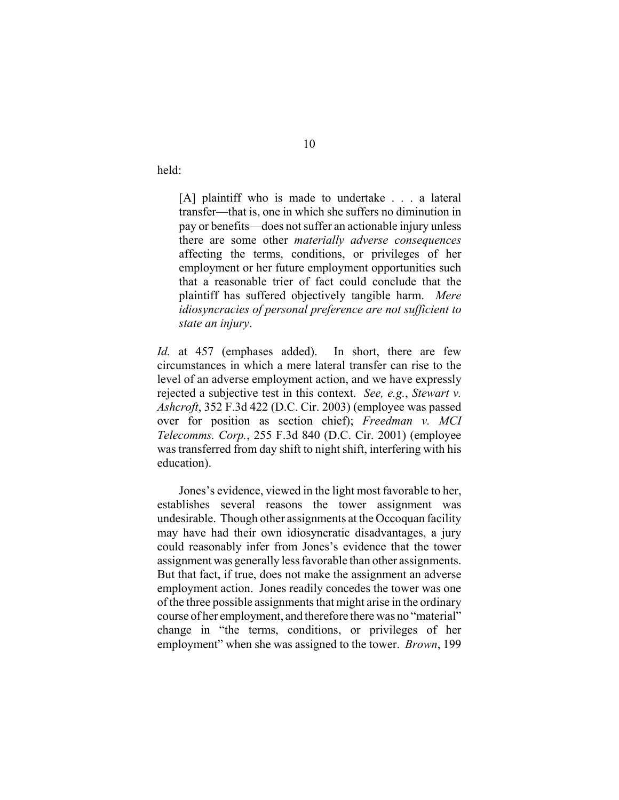held:

[A] plaintiff who is made to undertake . . . a lateral transfer—that is, one in which she suffers no diminution in pay or benefits—does not suffer an actionable injury unless there are some other *materially adverse consequences* affecting the terms, conditions, or privileges of her employment or her future employment opportunities such that a reasonable trier of fact could conclude that the plaintiff has suffered objectively tangible harm. *Mere idiosyncracies of personal preference are not sufficient to state an injury*.

*Id.* at 457 (emphases added). In short, there are few circumstances in which a mere lateral transfer can rise to the level of an adverse employment action, and we have expressly rejected a subjective test in this context. *See, e.g.*, *Stewart v. Ashcroft*, 352 F.3d 422 (D.C. Cir. 2003) (employee was passed over for position as section chief); *Freedman v. MCI Telecomms. Corp.*, 255 F.3d 840 (D.C. Cir. 2001) (employee was transferred from day shift to night shift, interfering with his education).

Jones's evidence, viewed in the light most favorable to her, establishes several reasons the tower assignment was undesirable. Though other assignments at the Occoquan facility may have had their own idiosyncratic disadvantages, a jury could reasonably infer from Jones's evidence that the tower assignment was generally less favorable than other assignments. But that fact, if true, does not make the assignment an adverse employment action. Jones readily concedes the tower was one of the three possible assignments that might arise in the ordinary course of her employment, and therefore there was no "material" change in "the terms, conditions, or privileges of her employment" when she was assigned to the tower. *Brown*, 199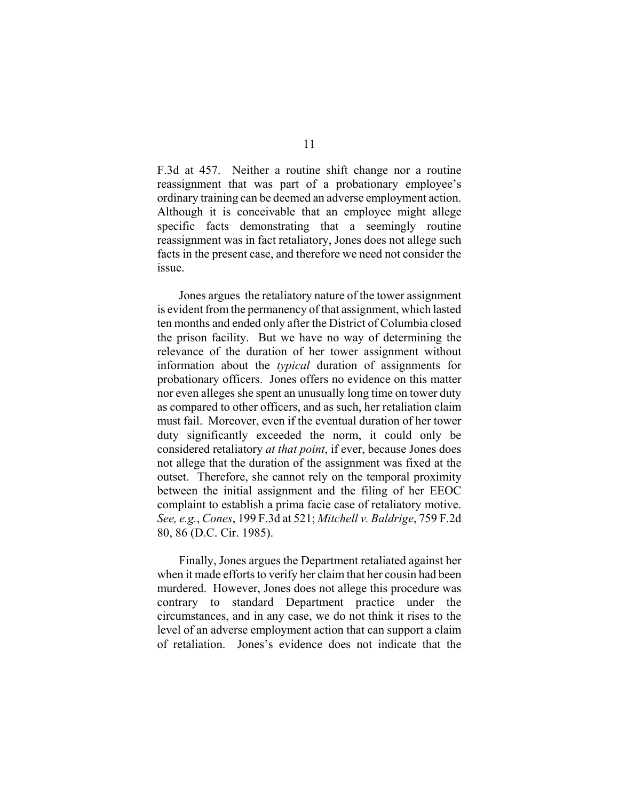F.3d at 457. Neither a routine shift change nor a routine reassignment that was part of a probationary employee's ordinary training can be deemed an adverse employment action. Although it is conceivable that an employee might allege specific facts demonstrating that a seemingly routine reassignment was in fact retaliatory, Jones does not allege such facts in the present case, and therefore we need not consider the issue.

Jones argues the retaliatory nature of the tower assignment is evident from the permanency of that assignment, which lasted ten months and ended only after the District of Columbia closed the prison facility. But we have no way of determining the relevance of the duration of her tower assignment without information about the *typical* duration of assignments for probationary officers. Jones offers no evidence on this matter nor even alleges she spent an unusually long time on tower duty as compared to other officers, and as such, her retaliation claim must fail. Moreover, even if the eventual duration of her tower duty significantly exceeded the norm, it could only be considered retaliatory *at that point*, if ever, because Jones does not allege that the duration of the assignment was fixed at the outset. Therefore, she cannot rely on the temporal proximity between the initial assignment and the filing of her EEOC complaint to establish a prima facie case of retaliatory motive. *See, e.g.*, *Cones*, 199 F.3d at 521; *Mitchell v. Baldrige*, 759 F.2d 80, 86 (D.C. Cir. 1985).

Finally, Jones argues the Department retaliated against her when it made efforts to verify her claim that her cousin had been murdered. However, Jones does not allege this procedure was contrary to standard Department practice under the circumstances, and in any case, we do not think it rises to the level of an adverse employment action that can support a claim of retaliation. Jones's evidence does not indicate that the